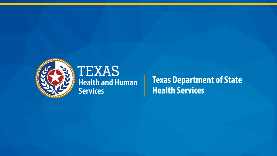

#### **TEXAS Health and Human Services**

**Texas Department of State Health Services**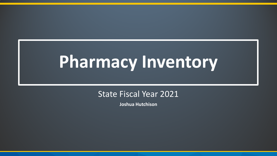## **Pharmacy Inventory**

#### State Fiscal Year 2021

**Joshua Hutchison**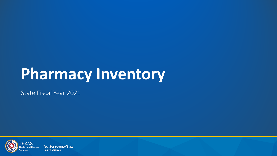## **Pharmacy Inventory**

State Fiscal Year 2021



**Texas Department of State Health Services**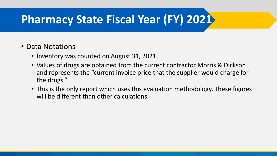## **Pharmacy State Fiscal Year (FY) 2021**

#### • Data Notations

- Inventory was counted on August 31, 2021.
- Values of drugs are obtained from the current contractor Morris & Dickson and represents the "current invoice price that the supplier would charge for the drugs."
- This is the only report which uses this evaluation methodology. These figures will be different than other calculations.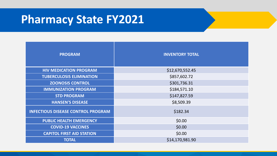### **Pharmacy State FY2021**

| <b>PROGRAM</b>                            | <b>INVENTORY TOTAL</b> |  |  |
|-------------------------------------------|------------------------|--|--|
| <b>HIV MEDICATION PROGRAM</b>             | \$12,670,552.45        |  |  |
| <b>TUBERCULOSIS ELIMINATION</b>           | \$857,602.72           |  |  |
| <b>ZOONOSIS CONTROL</b>                   | \$301,736.31           |  |  |
| <b>IMMUNIZATION PROGRAM</b>               | \$184,571.10           |  |  |
| <b>STD PROGRAM</b>                        | \$147,827.59           |  |  |
| <b>HANSEN'S DISEASE</b>                   | \$8,509.39             |  |  |
| <b>INFECTIOUS DISEASE CONTROL PROGRAM</b> | \$182.34               |  |  |
| <b>PUBLIC HEALTH EMERGENCY</b>            | \$0.00                 |  |  |
| <b>COVID-19 VACCINES</b>                  | \$0.00                 |  |  |
| <b>CAPITOL FIRST AID STATION</b>          | \$0.00                 |  |  |
| <b>TOTAL</b>                              | \$14,170,981.90        |  |  |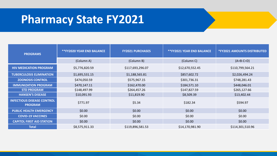### **Pharmacy State FY2021**

| <b>PROGRAMS</b>                                     | <b>**FY2020 YEAR END BALANCE</b> | <b>FY2021 PURCHASES</b> | <b>**FY2021 YEAR END BALANCE</b> | <b>*FY2021 AMOUNTS DISTRIBUTED</b> |
|-----------------------------------------------------|----------------------------------|-------------------------|----------------------------------|------------------------------------|
|                                                     | (Column A)                       | (Column B)              | (Column C)                       | $(A+B-C=D)$                        |
| <b>HIV MEDICATION PROGRAM</b>                       | \$5,776,820.59                   | \$117,693,296.07        | \$12,670,552.45                  | \$110,799,564.21                   |
| <b>TUBERCULOSIS ELIMINATION</b>                     | \$1,695,531.15                   | \$1,188,565.81          | \$857,602.72                     | \$2,026,494.24                     |
| <b>ZOONOSIS CONTROL</b>                             | \$474,050.59                     | \$575,967.15            | \$301,736.31                     | \$748,281.43                       |
| <b>IMMUNIZATION PROGRAM</b>                         | \$470,147.11                     | \$162,470.00            | \$184,571.10                     | \$448,046.01                       |
| <b>STD PROGRAM</b>                                  | \$148,497.99                     | \$264,457.26            | \$147,827.59                     | \$265,127.66                       |
| <b>HANSEN'S DISEASE</b>                             | \$10,091.93                      | \$11,819.90             | \$8,509.39                       | \$13,402.44                        |
| <b>INFECTIOUS DISEASE CONTROL</b><br><b>PROGRAM</b> | \$771.97                         | \$5.34                  | \$182.34                         | \$594.97                           |
| <b>PUBLIC HEALTH EMERGENCY</b>                      | \$0.00                           | \$0.00                  | \$0.00                           | \$0.00                             |
| <b>COVID-19 VACCINES</b>                            | \$0.00                           | \$0.00                  | \$0.00                           | \$0.00                             |
| <b>CAPITOL FIRST AID STATION</b>                    | \$0.00                           | \$0.00                  | \$0.00                           | \$0.00                             |
| <b>Total</b>                                        | \$8,575,911.33                   | \$119,896,581.53        | \$14,170,981.90                  | \$114,301,510.96                   |